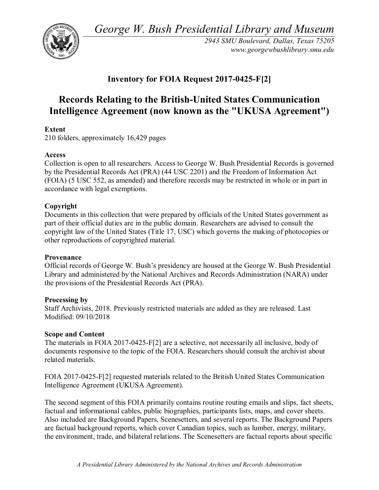*George W. Bush Presidential Library and Museum* 



*2943 SMU Boulevard, Dallas, Texas 75205 <www.georgewbushlibrary.smu.edu>*

# **Inventory for FOIA Request 2017-0425-F[2]**

# **Records Relating to the British-United States Communication Intelligence Agreement (now known as the "UKUSA Agreement")**

# **Extent**

210 folders, approximately 16,429 pages

# **Access**

 Collection is open to all researchers. Access to George W. Bush Presidential Records is governed by the Presidential Records Act (PRA) (44 USC 2201) and the Freedom of Information Act (FOIA) (5 USC 552, as amended) and therefore records may be restricted in whole or in part in accordance with legal exemptions.

# **Copyright**

Documents in this collection that were prepared by officials of the United States government as part of their official duties are in the public domain. Researchers are advised to consult the copyright law of the United States (Title 17, USC) which governs the making of photocopies or other reproductions of copyrighted material.

## **Provenance**

Official records of George W. Bush's presidency are housed at the George W. Bush Presidential Library and administered by the National Archives and Records Administration (NARA) under the provisions of the Presidential Records Act (PRA).

## **Processing by**

Staff Archivists, 2018. Previously restricted materials are added as they are released. Last Modified: 09/10/2018

## **Scope and Content**

The materials in FOIA 2017-0425-F[2] are a selective, not necessarily all inclusive, body of documents responsive to the topic of the FOIA. Researchers should consult the archivist about related materials.

 FOIA 2017-0425-F[2] requested materials related to the British United States Communication Intelligence Agreement (UKUSA Agreement).

 The second segment of this FOIA primarily contains routine routing emails and slips, fact sheets, factual and informational cables, public biographies, participants lists, maps, and cover sheets. are factual background reports, which cover Canadian topics, such as lumber, energy, military, Also included are Background Papers, Scenesetters, and several reports. The Background Papers the environment, trade, and bilateral relations. The Scenesetters are factual reports about specific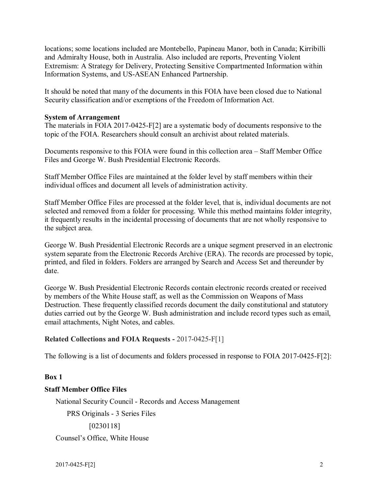locations; some locations included are Montebello, Papineau Manor, both in Canada; Kirribilli Extremism: A Strategy for Delivery, Protecting Sensitive Compartmented Information within and Admiralty House, both in Australia. Also included are reports, Preventing Violent Information Systems, and US-ASEAN Enhanced Partnership.

 It should be noted that many of the documents in this FOIA have been closed due to National Security classification and/or exemptions of the Freedom of Information Act.

## **System of Arrangement**

topic of the FOIA. Researchers should consult an archivist about related materials. The materials in FOIA 2017-0425-F[2] are a systematic body of documents responsive to the

topic of the FOIA. Researchers should consult an archivist about related materials.<br>Documents responsive to this FOIA were found in this collection area – Staff Member Office Files and George W. Bush Presidential Electronic Records.

 Staff Member Office Files are maintained at the folder level by staff members within their individual offices and document all levels of administration activity.

individual offices and document all levels of administration activity.<br>Staff Member Office Files are processed at the folder level, that is, individual documents are not selected and removed from a folder for processing. While this method maintains folder integrity, it frequently results in the incidental processing of documents that are not wholly responsive to the subject area.

 printed, and filed in folders. Folders are arranged by Search and Access Set and thereunder by George W. Bush Presidential Electronic Records are a unique segment preserved in an electronic system separate from the Electronic Records Archive (ERA). The records are processed by topic, date.

 George W. Bush Presidential Electronic Records contain electronic records created or received by members of the White House staff, as well as the Commission on Weapons of Mass Destruction. These frequently classified records document the daily constitutional and statutory duties carried out by the George W. Bush administration and include record types such as email, email attachments, Night Notes, and cables.

## **Related Collections and FOIA Requests -** 2017-0425-F[1]

The following is a list of documents and folders processed in response to FOIA 2017-0425-F[2]:

## **Box 1**

## **Staff Member Office Files**

National Security Council - Records and Access Management

PRS Originals - 3 Series Files

[0230118]

Counsel's Office, White House

2017-0425-F[2] 2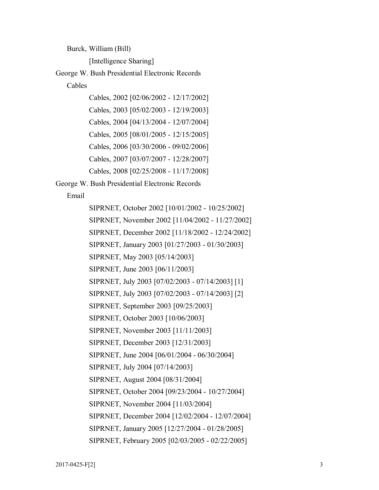Burck, William (Bill)

[Intelligence Sharing]

George W. Bush Presidential Electronic Records

Cables

 Cables, 2002 [02/06/2002 - 12/17/2002] Cables, 2003 [05/02/2003 - 12/19/2003] Cables, 2004 [04/13/2004 - 12/07/2004] Cables, 2005 [08/01/2005 - 12/15/2005] Cables, 2006 [03/30/2006 - 09/02/2006] Cables, 2007 [03/07/2007 - 12/28/2007] Cables, 2008 [02/25/2008 - 11/17/2008]

George W. Bush Presidential Electronic Records

Email

 SIPRNET, October 2002 [10/01/2002 - 10/25/2002] SIPRNET, November 2002 [11/04/2002 - 11/27/2002] SIPRNET, December 2002 [11/18/2002 - 12/24/2002] SIPRNET, January 2003 [01/27/2003 - 01/30/2003] SIPRNET, June 2004 [06/01/2004 - 06/30/2004] SIPRNET, October 2004 [09/23/2004 - 10/27/2004] SIPRNET, December 2004 [12/02/2004 - 12/07/2004] SIPRNET, January 2005 [12/27/2004 - 01/28/2005] SIPRNET, February 2005 [02/03/2005 - 02/22/2005] SIPRNET, May 2003 [05/14/2003] SIPRNET, June 2003 [06/11/2003] SIPRNET, July 2003 [07/02/2003 - 07/14/2003] [1] SIPRNET, July 2003 [07/02/2003 - 07/14/2003] [2] SIPRNET, September 2003 [09/25/2003] SIPRNET, October 2003 [10/06/2003] SIPRNET, November 2003 [11/11/2003] SIPRNET, December 2003 [12/31/2003] SIPRNET, July 2004 [07/14/2003] SIPRNET, August 2004 [08/31/2004] SIPRNET, November 2004 [11/03/2004]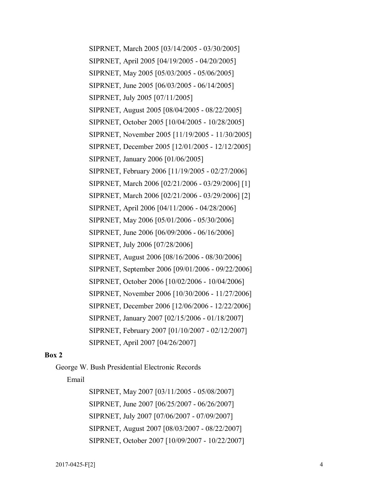SIPRNET, March 2005 [03/14/2005 - 03/30/2005] SIPRNET, April 2005 [04/19/2005 - 04/20/2005] SIPRNET, May 2005 [05/03/2005 - 05/06/2005] SIPRNET, June 2005 [06/03/2005 - 06/14/2005] SIPRNET, August 2005 [08/04/2005 - 08/22/2005] SIPRNET, October 2005 [10/04/2005 - 10/28/2005] SIPRNET, November 2005 [11/19/2005 - 11/30/2005] SIPRNET, December 2005 [12/01/2005 - 12/12/2005] SIPRNET, February 2006 [11/19/2005 - 02/27/2006] SIPRNET, March 2006 [02/21/2006 - 03/29/2006] [1] SIPRNET, April 2006 [04/11/2006 - 04/28/2006] SIPRNET, May 2006 [05/01/2006 - 05/30/2006] SIPRNET, June 2006 [06/09/2006 - 06/16/2006] SIPRNET, August 2006 [08/16/2006 - 08/30/2006] SIPRNET, September 2006 [09/01/2006 - 09/22/2006] SIPRNET, October 2006 [10/02/2006 - 10/04/2006] SIPRNET, November 2006 [10/30/2006 - 11/27/2006] SIPRNET, December 2006 [12/06/2006 - 12/22/2006] SIPRNET, January 2007 [02/15/2006 - 01/18/2007] SIPRNET, February 2007 [01/10/2007 - 02/12/2007] SIPRNET, July 2005 [07/11/2005] SIPRNET, January 2006 [01/06/2005] SIPRNET, March 2006 [02/21/2006 - 03/29/2006] [2] SIPRNET, July 2006 [07/28/2006] SIPRNET, April 2007 [04/26/2007]

### **Box 2**

George W. Bush Presidential Electronic Records

Email

 SIPRNET, May 2007 [03/11/2005 - 05/08/2007] SIPRNET, June 2007 [06/25/2007 - 06/26/2007] SIPRNET, July 2007 [07/06/2007 - 07/09/2007] SIPRNET, August 2007 [08/03/2007 - 08/22/2007] SIPRNET, October 2007 [10/09/2007 - 10/22/2007]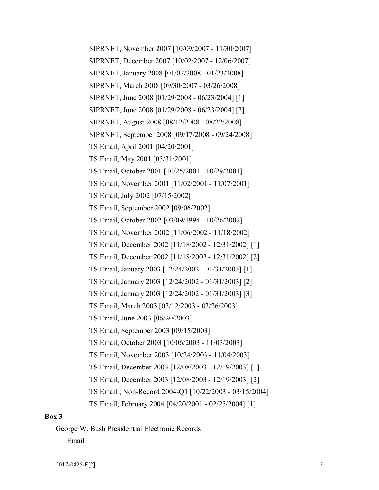SIPRNET, November 2007 [10/09/2007 - 11/30/2007] SIPRNET, December 2007 [10/02/2007 - 12/06/2007] SIPRNET, January 2008 [01/07/2008 - 01/23/2008] SIPRNET, March 2008 [09/30/2007 - 03/26/2008] SIPRNET, August 2008 [08/12/2008 - 08/22/2008] SIPRNET, September 2008 [09/17/2008 - 09/24/2008] TS Email, October 2001 [10/25/2001 - 10/29/2001] TS Email, November 2001 [11/02/2001 - 11/07/2001] TS Email, October 2002 [03/09/1994 - 10/26/2002] TS Email, November 2002 [11/06/2002 - 11/18/2002] TS Email, March 2003 [03/12/2003 - 03/26/2003] TS Email, October 2003 [10/06/2003 - 11/03/2003] TS Email, November 2003 [10/24/2003 - 11/04/2003] TS Email , Non-Record 2004-Q1 [10/22/2003 - 03/15/2004] SIPRNET, June 2008 [01/29/2008 - 06/23/2004] [1] SIPRNET, June 2008 [01/29/2008 - 06/23/2004] [2] TS Email, April 2001 [04/20/2001] TS Email, May 2001 [05/31/2001] TS Email, July 2002 [07/15/2002] TS Email, September 2002 [09/06/2002] TS Email, December 2002 [11/18/2002 - 12/31/2002] [1] TS Email, December 2002 [11/18/2002 - 12/31/2002] [2] TS Email, January 2003 [12/24/2002 - 01/31/2003] [1] TS Email, January 2003 [12/24/2002 - 01/31/2003] [2] TS Email, January 2003 [12/24/2002 - 01/31/2003] [3] TS Email, June 2003 [06/20/2003] TS Email, September 2003 [09/15/2003] TS Email, December 2003 [12/08/2003 - 12/19/2003] [1] TS Email, December 2003 [12/08/2003 - 12/19/2003] [2] TS Email, February 2004 [04/20/2001 - 02/25/2004] [1]

#### **Box 3**

George W. Bush Presidential Electronic Records Email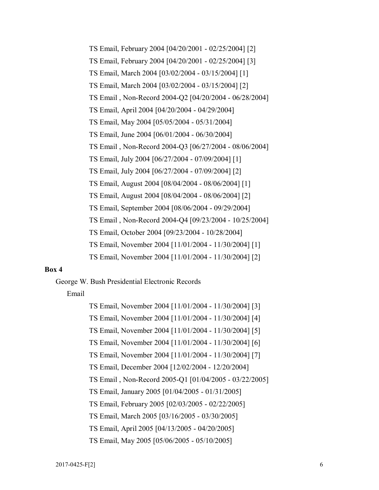TS Email , Non-Record 2004-Q2 [04/20/2004 - 06/28/2004] TS Email, April 2004 [04/20/2004 - 04/29/2004] TS Email, May 2004 [05/05/2004 - 05/31/2004] TS Email, June 2004 [06/01/2004 - 06/30/2004] TS Email , Non-Record 2004-Q3 [06/27/2004 - 08/06/2004] TS Email, August 2004 [08/04/2004 - 08/06/2004] [1] TS Email, August 2004 [08/04/2004 - 08/06/2004] [2] TS Email, September 2004 [08/06/2004 - 09/29/2004] TS Email , Non-Record 2004-Q4 [09/23/2004 - 10/25/2004] TS Email, October 2004 [09/23/2004 - 10/28/2004] TS Email, November 2004 [11/01/2004 - 11/30/2004] [2] TS Email, February 2004 [04/20/2001 - 02/25/2004] [2] TS Email, February 2004 [04/20/2001 - 02/25/2004] [3] TS Email, March 2004 [03/02/2004 - 03/15/2004] [1] TS Email, March 2004 [03/02/2004 - 03/15/2004] [2] TS Email, July 2004 [06/27/2004 - 07/09/2004] [1] TS Email, July 2004 [06/27/2004 - 07/09/2004] [2] TS Email, November 2004 [11/01/2004 - 11/30/2004] [1]

### **Box 4**

George W. Bush Presidential Electronic Records

#### Email

 TS Email, December 2004 [12/02/2004 - 12/20/2004] TS Email , Non-Record 2005-Q1 [01/04/2005 - 03/22/2005] TS Email, January 2005 [01/04/2005 - 01/31/2005] TS Email, February 2005 [02/03/2005 - 02/22/2005] TS Email, March 2005 [03/16/2005 - 03/30/2005] TS Email, April 2005 [04/13/2005 - 04/20/2005] TS Email, May 2005 [05/06/2005 - 05/10/2005] TS Email, November 2004 [11/01/2004 - 11/30/2004] [3] TS Email, November 2004 [11/01/2004 - 11/30/2004] [4] TS Email, November 2004 [11/01/2004 - 11/30/2004] [5] TS Email, November 2004 [11/01/2004 - 11/30/2004] [6] TS Email, November 2004 [11/01/2004 - 11/30/2004] [7]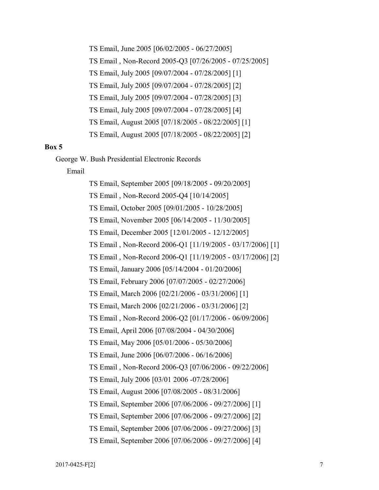TS Email, June 2005 [06/02/2005 - 06/27/2005] TS Email , Non-Record 2005-Q3 [07/26/2005 - 07/25/2005] TS Email, August 2005 [07/18/2005 - 08/22/2005] [1] TS Email, August 2005 [07/18/2005 - 08/22/2005] [2] TS Email, July 2005 [09/07/2004 - 07/28/2005] [1] TS Email, July 2005 [09/07/2004 - 07/28/2005] [2] TS Email, July 2005 [09/07/2004 - 07/28/2005] [3] TS Email, July 2005 [09/07/2004 - 07/28/2005] [4]

#### **Box 5**

George W. Bush Presidential Electronic Records

#### Email

 TS Email, September 2005 [09/18/2005 - 09/20/2005] TS Email, October 2005 [09/01/2005 - 10/28/2005] TS Email, November 2005 [06/14/2005 - 11/30/2005] TS Email, December 2005 [12/01/2005 - 12/12/2005] TS Email, January 2006 [05/14/2004 - 01/20/2006] TS Email, February 2006 [07/07/2005 - 02/27/2006] TS Email , Non-Record 2006-Q2 [01/17/2006 - 06/09/2006] TS Email, April 2006 [07/08/2004 - 04/30/2006] TS Email, May 2006 [05/01/2006 - 05/30/2006] TS Email, June 2006 [06/07/2006 - 06/16/2006] TS Email , Non-Record 2006-Q3 [07/06/2006 - 09/22/2006] TS Email, August 2006 [07/08/2005 - 08/31/2006] TS Email , Non-Record 2005-Q4 [10/14/2005] TS Email , Non-Record 2006-Q1 [11/19/2005 - 03/17/2006] [1] TS Email , Non-Record 2006-Q1 [11/19/2005 - 03/17/2006] [2] TS Email, March 2006 [02/21/2006 - 03/31/2006] [1] TS Email, March 2006 [02/21/2006 - 03/31/2006] [2] TS Email, July 2006 [03/01 2006 -07/28/2006] TS Email, September 2006 [07/06/2006 - 09/27/2006] [1] TS Email, September 2006 [07/06/2006 - 09/27/2006] [2] TS Email, September 2006 [07/06/2006 - 09/27/2006] [3] TS Email, September 2006 [07/06/2006 - 09/27/2006] [4]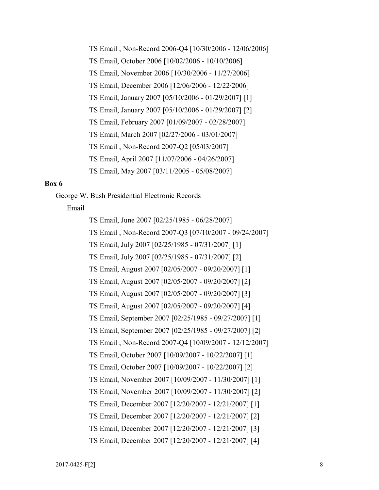TS Email , Non-Record 2006-Q4 [10/30/2006 - 12/06/2006] TS Email, October 2006 [10/02/2006 - 10/10/2006] TS Email, November 2006 [10/30/2006 - 11/27/2006] TS Email, December 2006 [12/06/2006 - 12/22/2006] TS Email, February 2007 [01/09/2007 - 02/28/2007] TS Email, March 2007 [02/27/2006 - 03/01/2007] TS Email, April 2007 [11/07/2006 - 04/26/2007] TS Email, May 2007 [03/11/2005 - 05/08/2007] TS Email, January 2007 [05/10/2006 - 01/29/2007] [1] TS Email, January 2007 [05/10/2006 - 01/29/2007] [2] TS Email , Non-Record 2007-Q2 [05/03/2007]

## **Box 6**

George W. Bush Presidential Electronic Records

Email

 TS Email, June 2007 [02/25/1985 - 06/28/2007] TS Email , Non-Record 2007-Q3 [07/10/2007 - 09/24/2007] TS Email, August 2007 [02/05/2007 - 09/20/2007] [1] TS Email, August 2007 [02/05/2007 - 09/20/2007] [2] TS Email, August 2007 [02/05/2007 - 09/20/2007] [3] TS Email, August 2007 [02/05/2007 - 09/20/2007] [4] TS Email, September 2007 [02/25/1985 - 09/27/2007] [1] TS Email , Non-Record 2007-Q4 [10/09/2007 - 12/12/2007] TS Email, July 2007 [02/25/1985 - 07/31/2007] [1] TS Email, July 2007 [02/25/1985 - 07/31/2007] [2] TS Email, September 2007 [02/25/1985 - 09/27/2007] [2] TS Email, October 2007 [10/09/2007 - 10/22/2007] [1] TS Email, October 2007 [10/09/2007 - 10/22/2007] [2] TS Email, November 2007 [10/09/2007 - 11/30/2007] [1] TS Email, November 2007 [10/09/2007 - 11/30/2007] [2] TS Email, December 2007 [12/20/2007 - 12/21/2007] [1] TS Email, December 2007 [12/20/2007 - 12/21/2007] [2] TS Email, December 2007 [12/20/2007 - 12/21/2007] [3] TS Email, December 2007 [12/20/2007 - 12/21/2007] [4]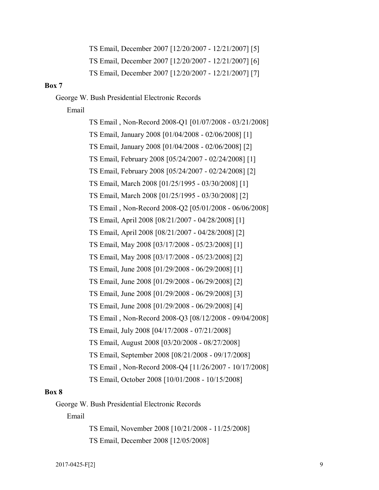TS Email, December 2007 [12/20/2007 - 12/21/2007] [5] TS Email, December 2007 [12/20/2007 - 12/21/2007] [6] TS Email, December 2007 [12/20/2007 - 12/21/2007] [7]

### **Box 7**

George W. Bush Presidential Electronic Records

Email

 TS Email , Non-Record 2008-Q1 [01/07/2008 - 03/21/2008] TS Email , Non-Record 2008-Q2 [05/01/2008 - 06/06/2008] TS Email , Non-Record 2008-Q3 [08/12/2008 - 09/04/2008] TS Email, July 2008 [04/17/2008 - 07/21/2008] TS Email, August 2008 [03/20/2008 - 08/27/2008] TS Email, September 2008 [08/21/2008 - 09/17/2008] TS Email , Non-Record 2008-Q4 [11/26/2007 - 10/17/2008] TS Email, October 2008 [10/01/2008 - 10/15/2008] TS Email, January 2008 [01/04/2008 - 02/06/2008] [1] TS Email, January 2008 [01/04/2008 - 02/06/2008] [2] TS Email, February 2008 [05/24/2007 - 02/24/2008] [1] TS Email, February 2008 [05/24/2007 - 02/24/2008] [2] TS Email, March 2008 [01/25/1995 - 03/30/2008] [1] TS Email, March 2008 [01/25/1995 - 03/30/2008] [2] TS Email, April 2008 [08/21/2007 - 04/28/2008] [1] TS Email, April 2008 [08/21/2007 - 04/28/2008] [2] TS Email, May 2008 [03/17/2008 - 05/23/2008] [1] TS Email, May 2008 [03/17/2008 - 05/23/2008] [2] TS Email, June 2008 [01/29/2008 - 06/29/2008] [1] TS Email, June 2008 [01/29/2008 - 06/29/2008] [2] TS Email, June 2008 [01/29/2008 - 06/29/2008] [3] TS Email, June 2008 [01/29/2008 - 06/29/2008] [4]

## **Box 8**

George W. Bush Presidential Electronic Records

#### Email

 TS Email, November 2008 [10/21/2008 - 11/25/2008] TS Email, December 2008 [12/05/2008]